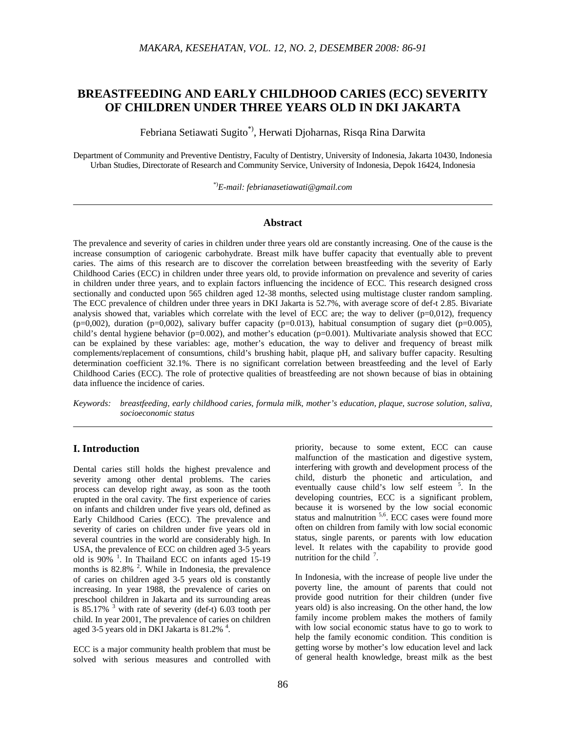# **BREASTFEEDING AND EARLY CHILDHOOD CARIES (ECC) SEVERITY OF CHILDREN UNDER THREE YEARS OLD IN DKI JAKARTA**

Febriana Setiawati Sugito\*), Herwati Djoharnas, Risqa Rina Darwita

Department of Community and Preventive Dentistry, Faculty of Dentistry, University of Indonesia, Jakarta 10430, Indonesia Urban Studies, Directorate of Research and Community Service, University of Indonesia, Depok 16424, Indonesia

\*)*E-mail: febrianasetiawati@gmail.com* 

#### **Abstract**

The prevalence and severity of caries in children under three years old are constantly increasing. One of the cause is the increase consumption of cariogenic carbohydrate. Breast milk have buffer capacity that eventually able to prevent caries. The aims of this research are to discover the correlation between breastfeeding with the severity of Early Childhood Caries (ECC) in children under three years old, to provide information on prevalence and severity of caries in children under three years, and to explain factors influencing the incidence of ECC. This research designed cross sectionally and conducted upon 565 children aged 12-38 months, selected using multistage cluster random sampling. The ECC prevalence of children under three years in DKI Jakarta is 52.7%, with average score of def-t 2.85. Bivariate analysis showed that, variables which correlate with the level of ECC are; the way to deliver  $(p=0,012)$ , frequency  $(p=0,002)$ , duration  $(p=0,002)$ , salivary buffer capacity  $(p=0.013)$ , habitual consumption of sugary diet  $(p=0.005)$ , child's dental hygiene behavior (p=0.002), and mother's education (p=0.001). Multivariate analysis showed that ECC can be explained by these variables: age, mother's education, the way to deliver and frequency of breast milk complements/replacement of consumtions, child's brushing habit, plaque pH, and salivary buffer capacity. Resulting determination coefficient 32.1%. There is no significant correlation between breastfeeding and the level of Early Childhood Caries (ECC). The role of protective qualities of breastfeeding are not shown because of bias in obtaining data influence the incidence of caries.

*Keywords: breastfeeding, early childhood caries, formula milk, mother's education, plaque, sucrose solution, saliva, socioeconomic status* 

# **I. Introduction**

Dental caries still holds the highest prevalence and severity among other dental problems. The caries process can develop right away, as soon as the tooth erupted in the oral cavity. The first experience of caries on infants and children under five years old, defined as Early Childhood Caries (ECC). The prevalence and severity of caries on children under five years old in several countries in the world are considerably high. In USA, the prevalence of ECC on children aged 3-5 years old is  $90\%$ <sup>1</sup>. In Thailand ECC on infants aged 15-19 months is  $82.8\%$ <sup>2</sup>. While in Indonesia, the prevalence of caries on children aged 3-5 years old is constantly increasing. In year 1988, the prevalence of caries on preschool children in Jakarta and its surrounding areas is 85.17%  $3$  with rate of severity (def-t) 6.03 tooth per child. In year 2001, The prevalence of caries on children aged 3-5 years old in DKI Jakarta is 81.2%<sup>4</sup>.

ECC is a major community health problem that must be solved with serious measures and controlled with priority, because to some extent, ECC can cause malfunction of the mastication and digestive system, interfering with growth and development process of the child, disturb the phonetic and articulation, and eventually cause child's low self esteem <sup>5</sup>. In the developing countries, ECC is a significant problem, because it is worsened by the low social economic status and malnutrition  $5,6$ . ECC cases were found more often on children from family with low social economic status, single parents, or parents with low education level. It relates with the capability to provide good nutrition for the child  $<sup>7</sup>$ .</sup>

In Indonesia, with the increase of people live under the poverty line, the amount of parents that could not provide good nutrition for their children (under five years old) is also increasing. On the other hand, the low family income problem makes the mothers of family with low social economic status have to go to work to help the family economic condition. This condition is getting worse by mother's low education level and lack of general health knowledge, breast milk as the best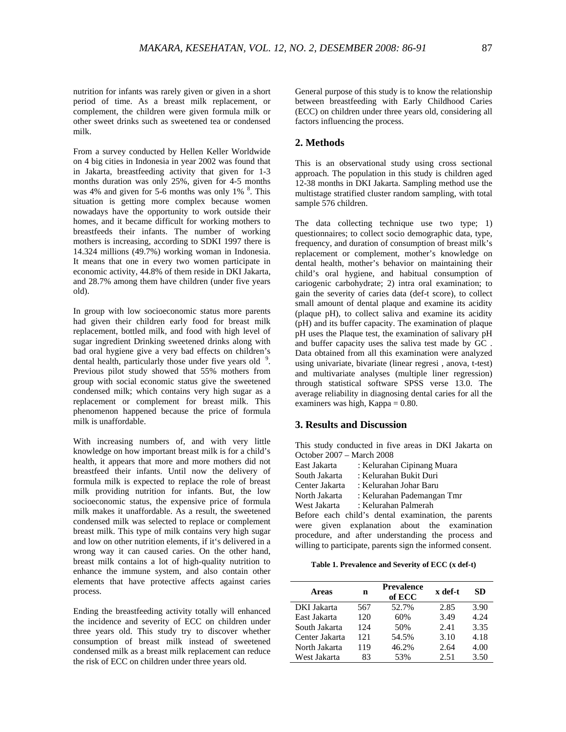nutrition for infants was rarely given or given in a short period of time. As a breast milk replacement, or complement, the children were given formula milk or other sweet drinks such as sweetened tea or condensed milk.

From a survey conducted by Hellen Keller Worldwide on 4 big cities in Indonesia in year 2002 was found that in Jakarta, breastfeeding activity that given for 1-3 months duration was only 25%, given for 4-5 months was 4% and given for 5-6 months was only  $1\%$ <sup>8</sup>. This situation is getting more complex because women nowadays have the opportunity to work outside their homes, and it became difficult for working mothers to breastfeeds their infants. The number of working mothers is increasing, according to SDKI 1997 there is 14.324 millions (49.7%) working woman in Indonesia. It means that one in every two women participate in economic activity, 44.8% of them reside in DKI Jakarta, and 28.7% among them have children (under five years old).

In group with low socioeconomic status more parents had given their children early food for breast milk replacement, bottled milk, and food with high level of sugar ingredient Drinking sweetened drinks along with bad oral hygiene give a very bad effects on children's dental health, particularly those under five years old  $9$ . Previous pilot study showed that 55% mothers from group with social economic status give the sweetened condensed milk; which contains very high sugar as a replacement or complement for breast milk. This phenomenon happened because the price of formula milk is unaffordable.

With increasing numbers of, and with very little knowledge on how important breast milk is for a child's health, it appears that more and more mothers did not breastfeed their infants. Until now the delivery of formula milk is expected to replace the role of breast milk providing nutrition for infants. But, the low socioeconomic status, the expensive price of formula milk makes it unaffordable. As a result, the sweetened condensed milk was selected to replace or complement breast milk. This type of milk contains very high sugar and low on other nutrition elements, if it's delivered in a wrong way it can caused caries. On the other hand, breast milk contains a lot of high-quality nutrition to enhance the immune system, and also contain other elements that have protective affects against caries process.

Ending the breastfeeding activity totally will enhanced the incidence and severity of ECC on children under three years old. This study try to discover whether consumption of breast milk instead of sweetened condensed milk as a breast milk replacement can reduce the risk of ECC on children under three years old.

General purpose of this study is to know the relationship between breastfeeding with Early Childhood Caries (ECC) on children under three years old, considering all factors influencing the process.

### **2. Methods**

This is an observational study using cross sectional approach. The population in this study is children aged 12-38 months in DKI Jakarta. Sampling method use the multistage stratified cluster random sampling, with total sample 576 children.

The data collecting technique use two type; 1) questionnaires; to collect socio demographic data, type, frequency, and duration of consumption of breast milk's replacement or complement, mother's knowledge on dental health, mother's behavior on maintaining their child's oral hygiene, and habitual consumption of cariogenic carbohydrate; 2) intra oral examination; to gain the severity of caries data (def-t score), to collect small amount of dental plaque and examine its acidity (plaque pH), to collect saliva and examine its acidity (pH) and its buffer capacity. The examination of plaque pH uses the Plaque test, the examination of salivary pH and buffer capacity uses the saliva test made by GC . Data obtained from all this examination were analyzed using univariate, bivariate (linear regresi , anova, t-test) and multivariate analyses (multiple liner regression) through statistical software SPSS verse 13.0. The average reliability in diagnosing dental caries for all the examiners was high, Kappa = 0.80.

#### **3. Results and Discussion**

This study conducted in five areas in DKI Jakarta on October 2007 – March 2008

| East Jakarta   | : Kelurahan Cipinang Muara                     |
|----------------|------------------------------------------------|
| South Jakarta  | : Kelurahan Bukit Duri                         |
| Center Jakarta | : Kelurahan Johar Baru                         |
| North Jakarta  | : Kelurahan Pademangan Tmr                     |
| West Jakarta   | : Kelurahan Palmerah                           |
|                | Before each child's dental examination, the pa |

parents were given explanation about the examination procedure, and after understanding the process and willing to participate, parents sign the informed consent.

**Table 1. Prevalence and Severity of ECC (x def-t)** 

| <b>Areas</b>   | n   | <b>Prevalence</b><br>of ECC | x def-t | SD.  |
|----------------|-----|-----------------------------|---------|------|
| DKI Jakarta    | 567 | 52.7%                       | 2.85    | 3.90 |
| East Jakarta   | 120 | 60%                         | 3.49    | 4.24 |
| South Jakarta  | 124 | 50%                         | 2.41    | 3.35 |
| Center Jakarta | 121 | 54.5%                       | 3.10    | 4.18 |
| North Jakarta  | 119 | 46.2%                       | 2.64    | 4.00 |
| West Jakarta   | 83  | 53%                         | 2.51    | 3.50 |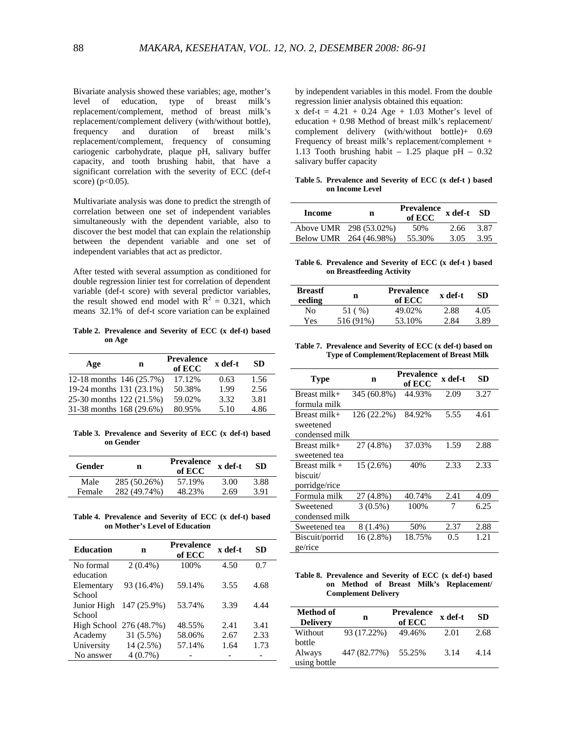Bivariate analysis showed these variables; age, mother's level of education, type of breast milk's replacement/complement, method of breast milk's replacement/complement delivery (with/without bottle), frequency and duration of breast milk's replacement/complement, frequency of consuming cariogenic carbohydrate, plaque pH, salivary buffer capacity, and tooth brushing habit, that have a significant correlation with the severity of ECC (def-t score) ( $p < 0.05$ ).

Multivariate analysis was done to predict the strength of correlation between one set of independent variables simultaneously with the dependent variable, also to discover the best model that can explain the relationship between the dependent variable and one set of independent variables that act as predictor.

After tested with several assumption as conditioned for double regression linier test for correlation of dependent variable (def-t score) with several predictor variables, the result showed end model with  $R^2 = 0.321$ , which means 32.1% of def-t score variation can be explained

**Table 2. Prevalence and Severity of ECC (x def-t) based on Age** 

| Age                      | n | <b>Prevalence</b><br>of ECC | x def-t | SD.  |
|--------------------------|---|-----------------------------|---------|------|
| 12-18 months 146 (25.7%) |   | 17.12%                      | 0.63    | 1.56 |
| 19-24 months 131 (23.1%) |   | 50.38%                      | 1.99    | 2.56 |
| 25-30 months 122 (21.5%) |   | 59.02%                      | 3.32    | 3.81 |
| 31-38 months 168 (29.6%) |   | 80.95%                      | 5.10    | 4.86 |

**Table 3. Prevalence and Severity of ECC (x def-t) based on Gender** 

| <b>Gender</b> | n            | <b>Prevalence</b><br>of ECC | x def-t | SD.  |
|---------------|--------------|-----------------------------|---------|------|
| Male          | 285 (50.26%) | 57.19%                      | 3.00    | 3.88 |
| Female        | 282 (49.74%) | 48.23%                      | 2.69    | 3.91 |

**Table 4. Prevalence and Severity of ECC (x def-t) based on Mother's Level of Education** 

| <b>Education</b> | n                       | <b>Prevalence</b><br>of ECC | x def-t | SD   |
|------------------|-------------------------|-----------------------------|---------|------|
| No formal        | $2(0.4\%)$              | 100%                        | 4.50    | 0.7  |
| education        |                         |                             |         |      |
| Elementary       | 93 (16.4%)              | 59.14%                      | 3.55    | 4.68 |
| School           |                         |                             |         |      |
| Junior High      | 147 (25.9%)             | 53.74%                      | 3.39    | 4.44 |
| School           |                         |                             |         |      |
|                  | High School 276 (48.7%) | 48.55%                      | 2.41    | 3.41 |
| Academy          | 31 (5.5%)               | 58.06%                      | 2.67    | 2.33 |
| University       | 14 (2.5%)               | 57.14%                      | 1.64    | 1.73 |
| No answer        | $4(0.7\%)$              |                             |         |      |
|                  |                         |                             |         |      |

by independent variables in this model. From the double regression linier analysis obtained this equation:

 $x \text{ def-}t = 4.21 + 0.24 \text{ Age} + 1.03 \text{ Mother's level of}$ education + 0.98 Method of breast milk's replacement/ complement delivery (with/without bottle)+ 0.69 Frequency of breast milk's replacement/complement + 1.13 Tooth brushing habit – 1.25 plaque pH – 0.32 salivary buffer capacity

**Table 5. Prevalence and Severity of ECC (x def-t ) based on Income Level** 

| Income | n                      | <b>Prevalence</b><br>of ECC | x def-t | -SD  |
|--------|------------------------|-----------------------------|---------|------|
|        | Above UMR 298 (53.02%) | 50%                         | 2.66    | 3.87 |
|        | Below UMR 264 (46.98%) | 55.30%                      | 3.05    | 3.95 |

**Table 6. Prevalence and Severity of ECC (x def-t ) based on Breastfeeding Activity** 

| <b>Breastf</b><br>eeding | n         | <b>Prevalence</b><br>of ECC | x def-t | SD.  |
|--------------------------|-----------|-----------------------------|---------|------|
| Nο                       | 51 (%)    | 49.02%                      | 2.88    | 4.05 |
| Yes                      | 516 (91%) | 53.10%                      | 2.84    | 3.89 |
|                          |           |                             |         |      |

**Table 7. Prevalence and Severity of ECC (x def-t) based on Type of Complement/Replacement of Breast Milk** 

| <b>Type</b>     | n           | Prevalence<br>of ECC | x def-t | SD   |
|-----------------|-------------|----------------------|---------|------|
| Breast milk+    | 345 (60.8%) | 44.93%               | 2.09    | 3.27 |
| formula milk    |             |                      |         |      |
| Breast milk+    | 126 (22.2%) | 84.92%               | 5.55    | 4.61 |
| sweetened       |             |                      |         |      |
| condensed milk  |             |                      |         |      |
| Breast milk+    | 27 (4.8%)   | 37.03%               | 1.59    | 2.88 |
| sweetened tea   |             |                      |         |      |
| Breast milk $+$ | 15 (2.6%)   | 40%                  | 2.33    | 2.33 |
| biscuit/        |             |                      |         |      |
| porridge/rice   |             |                      |         |      |
| Formula milk    | 27 (4.8%)   | 40.74%               | 2.41    | 4.09 |
| Sweetened       | $3(0.5\%)$  | 100%                 | 7       | 6.25 |
| condensed milk  |             |                      |         |      |
| Sweetened tea   | $8(1.4\%)$  | 50%                  | 2.37    | 2.88 |
| Biscuit/porrid  | 16 (2.8%)   | 18.75%               | 0.5     | 1.21 |
| ge/rice         |             |                      |         |      |

**Table 8. Prevalence and Severity of ECC (x def-t) based on Method of Breast Milk's Replacement/ Complement Delivery** 

| Method of<br><b>Delivery</b>     | n            | <b>Prevalence</b><br>of ECC | x def-t | SD.  |
|----------------------------------|--------------|-----------------------------|---------|------|
| Without                          | 93 (17.22%)  | 49.46%                      | 2.01    | 2.68 |
| bottle<br>Always<br>using bottle | 447 (82.77%) | 55.25%                      | 3.14    | 4.14 |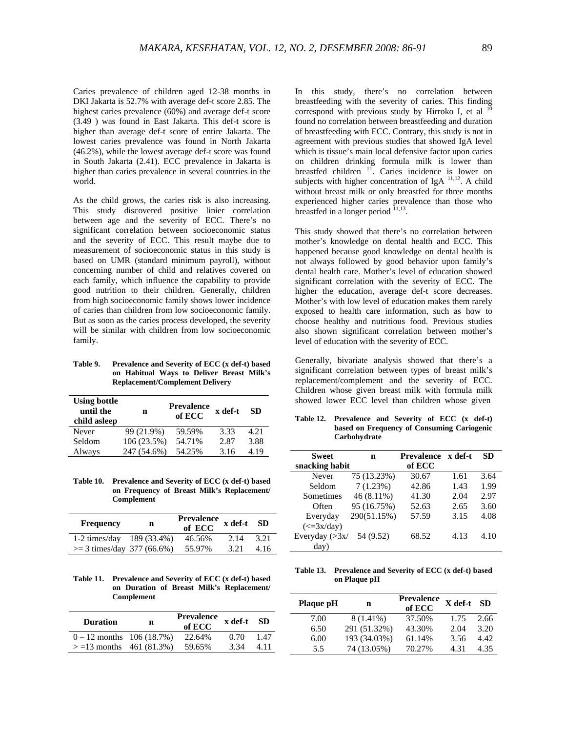Caries prevalence of children aged 12-38 months in DKI Jakarta is 52.7% with average def-t score 2.85. The highest caries prevalence (60%) and average def-t score (3.49 ) was found in East Jakarta. This def-t score is higher than average def-t score of entire Jakarta. The lowest caries prevalence was found in North Jakarta (46.2%), while the lowest average def-t score was found in South Jakarta (2.41). ECC prevalence in Jakarta is higher than caries prevalence in several countries in the world.

As the child grows, the caries risk is also increasing. This study discovered positive linier correlation between age and the severity of ECC. There's no significant correlation between socioeconomic status and the severity of ECC. This result maybe due to measurement of socioeconomic status in this study is based on UMR (standard minimum payroll), without concerning number of child and relatives covered on each family, which influence the capability to provide good nutrition to their children. Generally, children from high socioeconomic family shows lower incidence of caries than children from low socioeconomic family. But as soon as the caries process developed, the severity will be similar with children from low socioeconomic family.

**Table 9. Prevalence and Severity of ECC (x def-t) based on Habitual Ways to Deliver Breast Milk's Replacement/Complement Delivery** 

| <b>Using bottle</b><br>until the<br>child asleep | n           | <b>Prevalence</b><br>of ECC | x def-t | SD.  |
|--------------------------------------------------|-------------|-----------------------------|---------|------|
| Never                                            | 99 (21.9%)  | 59.59%                      | 3.33    | 4.21 |
| Seldom                                           | 106(23.5%)  | 54.71%                      | 2.87    | 3.88 |
| Always                                           | 247 (54.6%) | 54.25%                      | 3.16    | 4.19 |

**Table 10. Prevalence and Severity of ECC (x def-t) based on Frequency of Breast Milk's Replacement/ Complement** 

| <b>Frequency</b>             | n | <b>Prevalence</b><br>of ECC | x def-t | SD.  |
|------------------------------|---|-----------------------------|---------|------|
| 1-2 times/day $189(33.4\%)$  |   | 46.56%                      | 2.14    | 3.21 |
| $>=$ 3 times/day 377 (66.6%) |   | 55.97%                      | 3.21    | 4.16 |

**Table 11. Prevalence and Severity of ECC (x def-t) based on Duration of Breast Milk's Replacement/ Complement** 

| <b>Duration</b>             | n | <b>Prevalence</b><br>of ECC | x def-t | -SD  |
|-----------------------------|---|-----------------------------|---------|------|
| $0 - 12$ months 106 (18.7%) |   | 22.64%                      | 0.70    | 1.47 |
| $> = 13$ months 461 (81.3%) |   | 59.65%                      | 3.34    | 4.11 |

In this study, there's no correlation between breastfeeding with the severity of caries. This finding correspond with previous study by Hirroko I, et al  $^{10}$ found no correlation between breastfeeding and duration of breastfeeding with ECC. Contrary, this study is not in agreement with previous studies that showed IgA level which is tissue's main local defensive factor upon caries on children drinking formula milk is lower than breastfed children  $11$ . Caries incidence is lower on subjects with higher concentration of IgA  $^{11,12}$ . A child without breast milk or only breastfed for three months experienced higher caries prevalence than those who breastfed in a longer period  $11,13$ .

This study showed that there's no correlation between mother's knowledge on dental health and ECC. This happened because good knowledge on dental health is not always followed by good behavior upon family's dental health care. Mother's level of education showed significant correlation with the severity of ECC. The higher the education, average def-t score decreases. Mother's with low level of education makes them rarely exposed to health care information, such as how to choose healthy and nutritious food. Previous studies also shown significant correlation between mother's level of education with the severity of ECC.

Generally, bivariate analysis showed that there's a significant correlation between types of breast milk's replacement/complement and the severity of ECC. Children whose given breast milk with formula milk showed lower ECC level than children whose given

**Table 12. Prevalence and Severity of ECC (x def-t) based on Frequency of Consuming Cariogenic Carbohydrate** 

| Sweet                                 | n            | <b>Prevalence</b> | x def-t | SD   |
|---------------------------------------|--------------|-------------------|---------|------|
| snacking habit                        |              | of ECC            |         |      |
| Never                                 | 75 (13.23%)  | 30.67             | 1.61    | 3.64 |
| Seldom                                | 7(1.23%)     | 42.86             | 1.43    | 1.99 |
| Sometimes                             | $46(8.11\%)$ | 41.30             | 2.04    | 2.97 |
| Often                                 | 95 (16.75%)  | 52.63             | 2.65    | 3.60 |
| Everyday                              | 290(51.15%)  | 57.59             | 3.15    | 4.08 |
| $\left(\langle =3x/\text{day}\right)$ |              |                   |         |      |
| Everyday $(>\frac{3x}{ }$             | 54 (9.52)    | 68.52             | 4.13    | 4.10 |
| day)                                  |              |                   |         |      |

**Table 13. Prevalence and Severity of ECC (x def-t) based on Plaque pH** 

| Plaque pH | n            | Prevalence<br>of ECC | X def-t | <b>SD</b> |
|-----------|--------------|----------------------|---------|-----------|
| 7.00      | 8 (1.41%)    | 37.50%               | 1.75    | 2.66      |
| 6.50      | 291 (51.32%) | 43.30%               | 2.04    | 3.20      |
| 6.00      | 193 (34.03%) | 61.14%               | 3.56    | 4.42      |
| 5.5       | 74 (13.05%)  | 70.27%               | 4 3 1   | 4.35      |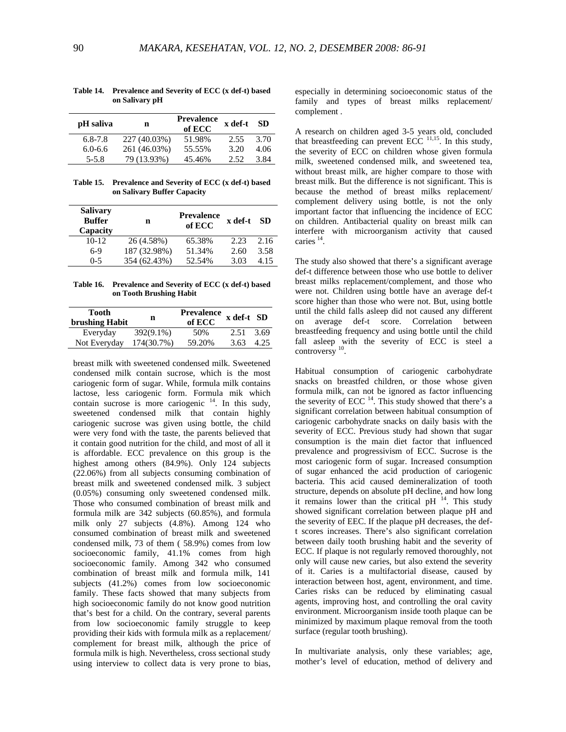| pH saliva   | n            | <b>Prevalence</b><br>of ECC | x def-t | SD.  |
|-------------|--------------|-----------------------------|---------|------|
| $6.8 - 7.8$ | 227 (40.03%) | 51.98%                      | 2.55    | 3.70 |
| $6.0 - 6.6$ | 261 (46.03%) | 55.55%                      | 3.20    | 4.06 |
| $5 - 5.8$   | 79 (13.93%)  | 45.46%                      | 2.52    | 3.84 |

**Table 14. Prevalence and Severity of ECC (x def-t) based on Salivary pH** 

**Table 15. Prevalence and Severity of ECC (x def-t) based on Salivary Buffer Capacity** 

| <b>Salivary</b><br><b>Buffer</b><br>Capacity | n            | <b>Prevalence</b><br>of ECC | x def-t | -SD  |
|----------------------------------------------|--------------|-----------------------------|---------|------|
| $10 - 12$                                    | 26 (4.58%)   | 65.38%                      | 2.23    | 2.16 |
| $6-9$                                        | 187 (32.98%) | 51.34%                      | 2.60    | 3.58 |
| $0 - 5$                                      | 354 (62.43%) | 52.54%                      | 3.03    | 4.15 |

**Table 16. Prevalence and Severity of ECC (x def-t) based on Tooth Brushing Habit** 

| n            | <b>Prevalence</b><br>of ECC |      |            |
|--------------|-----------------------------|------|------------|
| $392(9.1\%)$ | 50%                         | 2.51 | 3.69       |
| 174(30.7%)   | 59.20%                      | 3.63 | 4.25       |
|              |                             |      | x def-t SD |

breast milk with sweetened condensed milk. Sweetened condensed milk contain sucrose, which is the most cariogenic form of sugar. While, formula milk contains lactose, less cariogenic form. Formula mik which contain sucrose is more cariogenic  $14$ . In this sudy, sweetened condensed milk that contain highly cariogenic sucrose was given using bottle, the child were very fond with the taste, the parents believed that it contain good nutrition for the child, and most of all it is affordable. ECC prevalence on this group is the highest among others (84.9%). Only 124 subjects (22.06%) from all subjects consuming combination of breast milk and sweetened condensed milk. 3 subject (0.05%) consuming only sweetened condensed milk. Those who consumed combination of breast milk and formula milk are 342 subjects (60.85%), and formula milk only 27 subjects (4.8%). Among 124 who consumed combination of breast milk and sweetened condensed milk, 73 of them ( 58.9%) comes from low socioeconomic family, 41.1% comes from high socioeconomic family. Among 342 who consumed combination of breast milk and formula milk, 141 subjects (41.2%) comes from low socioeconomic family. These facts showed that many subjects from high socioeconomic family do not know good nutrition that's best for a child. On the contrary, several parents from low socioeconomic family struggle to keep providing their kids with formula milk as a replacement/ complement for breast milk, although the price of formula milk is high. Nevertheless, cross sectional study using interview to collect data is very prone to bias, especially in determining socioeconomic status of the family and types of breast milks replacement/ complement .

A research on children aged 3-5 years old, concluded that breastfeeding can prevent ECC  $^{11,15}$ . In this study, the severity of ECC on children whose given formula milk, sweetened condensed milk, and sweetened tea, without breast milk, are higher compare to those with breast milk. But the difference is not significant. This is because the method of breast milks replacement/ complement delivery using bottle, is not the only important factor that influencing the incidence of ECC on children. Antibacterial quality on breast milk can interfere with microorganism activity that caused caries 14.

The study also showed that there's a significant average def-t difference between those who use bottle to deliver breast milks replacement/complement, and those who were not. Children using bottle have an average def-t score higher than those who were not. But, using bottle until the child falls asleep did not caused any different on average def-t score. Correlation between breastfeeding frequency and using bottle until the child fall asleep with the severity of ECC is steel a controversy 10.

Habitual consumption of cariogenic carbohydrate snacks on breastfed children, or those whose given formula milk, can not be ignored as factor influencing the severity of ECC  $^{14}$ . This study showed that there's a significant correlation between habitual consumption of cariogenic carbohydrate snacks on daily basis with the severity of ECC. Previous study had shown that sugar consumption is the main diet factor that influenced prevalence and progressivism of ECC. Sucrose is the most cariogenic form of sugar. Increased consumption of sugar enhanced the acid production of cariogenic bacteria. This acid caused demineralization of tooth structure, depends on absolute pH decline, and how long it remains lower than the critical pH  $^{14}$ . This study showed significant correlation between plaque pH and the severity of EEC. If the plaque pH decreases, the deft scores increases. There's also significant correlation between daily tooth brushing habit and the severity of ECC. If plaque is not regularly removed thoroughly, not only will cause new caries, but also extend the severity of it. Caries is a multifactorial disease, caused by interaction between host, agent, environment, and time. Caries risks can be reduced by eliminating casual agents, improving host, and controlling the oral cavity environment. Microorganism inside tooth plaque can be minimized by maximum plaque removal from the tooth surface (regular tooth brushing).

In multivariate analysis, only these variables; age, mother's level of education, method of delivery and